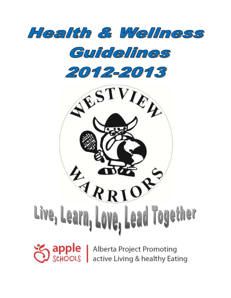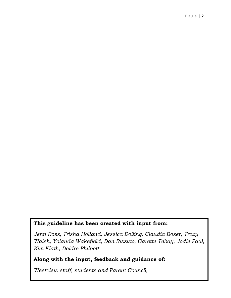## **This guideline has been created with input from:**

*Jenn Ross, Trisha Holland, Jessica Dolling, Claudia Boser, Tracy Walsh, Yolanda Wakefield, Dan Rizzuto, Garette Tebay, Jodie Paul, Kim Klath, Deidre Philpott*

# **Along with the input, feedback and guidance of:**

*Westview staff, students and Parent Council,*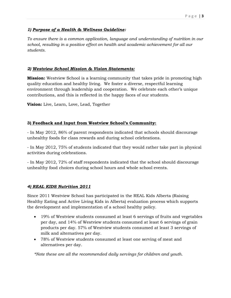#### *1) Purpose of a Health & Wellness Guideline:*

*To ensure there is a common application, language and understanding of nutrition in our school, resulting in a positive effect on health and academic achievement for all our students.* 

#### *2) Westview School Mission & Vision Statements:*

**Mission:** Westview School is a learning community that takes pride in promoting high quality education and healthy living. We foster a diverse, respectful learning environment through leadership and cooperation. We celebrate each other's unique contributions, and this is reflected in the happy faces of our students.

**Vision:** Live, Learn, Love, Lead, Together

#### **3) Feedback and Input from Westview School's Community:**

- In May 2012, 86% of parent respondents indicated that schools should discourage unhealthy foods for class rewards and during school celebrations.

- In May 2012, 75% of students indicated that they would rather take part in physical activities during celebrations.

- In May 2012, 72% of staff respondents indicated that the school should discourage unhealthy food choices during school hours and whole school events.

#### *4) REAL KIDS Nutrition 2011*

Since 2011 Westview School has participated in the REAL Kids Alberta (Raising Healthy Eating and Active Living Kids in Alberta) evaluation process which supports the development and implementation of a school healthy policy.

- 19% of Westview students consumed at least 6 servings of fruits and vegetables per day, and 14% of Westview students consumed at least 6 servings of grain products per day. 57% of Westview students consumed at least 3 servings of milk and alternatives per day.
- 78% of Westview students consumed at least one serving of meat and alternatives per day.

*\*Note these are all the recommended daily servings for children and youth.*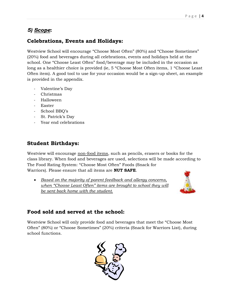# *5) Scope***:**

# **Celebrations, Events and Holidays:**

Westview School will encourage "Choose Most Often" (80%) and "Choose Sometimes" (20%) food and beverages during all celebrations, events and holidays held at the school. One "Choose Least Often" food/beverage may be included in the occasion as long as a healthier choice is provided (ie, 5 "Choose Most Often items, 1 "Choose Least Often item). A good tool to use for your occasion would be a sign-up sheet, an example is provided in the appendix.

- Valentine's Day
- Christmas
- Halloween
- Easter
- School BBQ's
- St. Patrick's Day
- Year end celebrations

# **Student Birthdays:**

Westview will encourage non-food items, such as pencils, erasers or books for the class library. When food and beverages are used, selections will be made according to The Food Rating System: "Choose Most Often" Foods (Snack for Warriors). Please ensure that all items are **NUT SAFE**.

 *Based on the majority of parent feedback and allergy concerns, when "Choose Least Often" items are brought to school they will be sent back home with the student.* 



# **Food sold and served at the school:**

Westview School will only provide food and beverages that meet the "Choose Most Often" (80%) or "Choose Sometimes" (20%) criteria (Snack for Warriors List), during school functions.

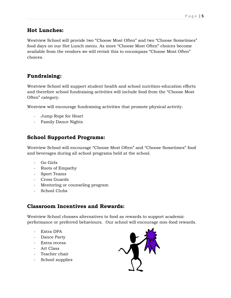## **Hot Lunches:**

Westview School will provide two "Choose Most Often" and two "Choose Sometimes" food days on our Hot Lunch menu. As more "Choose Most Often" choices become available from the vendors we will revisit this to encompass "Choose Most Often" choices.

# **Fundraising:**

Westview School will support student health and school nutrition-education efforts and therefore school fundraising activities will include food from the "Choose Most Often" category.

Westview will encourage fundraising activities that promote physical activity.

- Jump Rope for Heart
- Family Dance Nights

# **School Supported Programs:**

Westview School will encourage "Choose Most Often" and "Choose Sometimes" food and beverages during all school programs held at the school.

- Go Girls
- Roots of Empathy
- Sport Teams
- Cross Guards
- Mentoring or counseling program
- School Clubs

## **Classroom Incentives and Rewards:**

Westview School chooses alternatives to food as rewards to support academic performance or preferred behaviours. Our school will encourage non-food rewards.

- Extra DPA
- Dance Party
- Extra recess
- Art Class
- Teacher chair
- School supplies

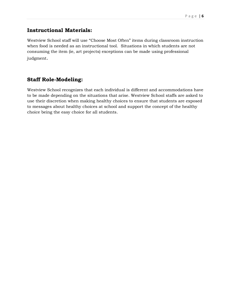## **Instructional Materials:**

Westview School staff will use "Choose Most Often" items during classroom instruction when food is needed as an instructional tool. Situations in which students are not consuming the item (ie, art projects) exceptions can be made using professional judgment.

## **Staff Role-Modeling:**

Westview School recognizes that each individual is different and accommodations have to be made depending on the situations that arise. Westview School staffs are asked to use their discretion when making healthy choices to ensure that students are exposed to messages about healthy choices at school and support the concept of the healthy choice being the easy choice for all students.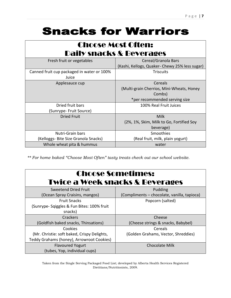# **Snacks for Warriors**

| <b>Choose Most Often:</b>                  |                                                |
|--------------------------------------------|------------------------------------------------|
| Daily snacks & Beverages                   |                                                |
| Fresh fruit or vegetables                  | Cereal/Granola Bars                            |
|                                            | (Kashi, Kellogs, Quaker- Chewy 25% less sugar) |
| Canned fruit cup packaged in water or 100% | <b>Triscuits</b>                               |
| Juice                                      |                                                |
| Applesauce cup                             | Cereals                                        |
|                                            | (Multi-grain Cherrios, Mini-Wheats, Honey      |
|                                            | Combs)                                         |
|                                            | *per recommended serving size                  |
| Dried fruit bars                           | 100% Real Fruit Juices                         |
| (Sunrype- Fruit Source)                    |                                                |
| <b>Dried Fruit</b>                         | Milk                                           |
|                                            | (2%, 1%, Skim, Milk to Go, Fortified Soy       |
|                                            | beverage)                                      |
| Nutri-Grain bars                           | Smoothies                                      |
| (Kelloggs- Bite Size Granola Snacks)       | (Real fruit, milk, plain yogurt)               |
| Whole wheat pita & hummus                  | water                                          |

*\*\* For home baked "Choose Most Often" tasty treats check out our school website.*

| <b>Choose Sometimes:</b><br><b>Twice a Week snacks &amp; Beverages</b> |                                             |
|------------------------------------------------------------------------|---------------------------------------------|
| <b>Sweetend Dried Fruit</b>                                            | Pudding                                     |
| (Ocean Spray Craisins, mangos)                                         | (Compliments - chocolate, vanilla, tapioca) |
| <b>Fruit Snacks</b>                                                    | Popcorn (salted)                            |
| (Sunrype- Sqiggles & Fun Bites: 100% fruit                             |                                             |
| snacks)                                                                |                                             |
| Crackers                                                               | Cheese                                      |
| (Goldfish baked snacks, Thinsations)                                   | (Cheese strings & snacks, Babybel)          |
| Cookies                                                                | Cereals                                     |
| (Mr. Christie: soft baked, Crispy Delights,                            | (Golden Grahams, Vector, Shreddies)         |
| Teddy Grahams (honey), Arrowroot Cookies)                              |                                             |
| <b>Flavoured Yogurt</b>                                                | <b>Chocolate Milk</b>                       |
| (tubes, Yop, individual cups)                                          |                                             |

Taken from the Single Serving Packaged Food List; developed by Alberta Health Services Registered Dietitians/Nutritionists, 2009.